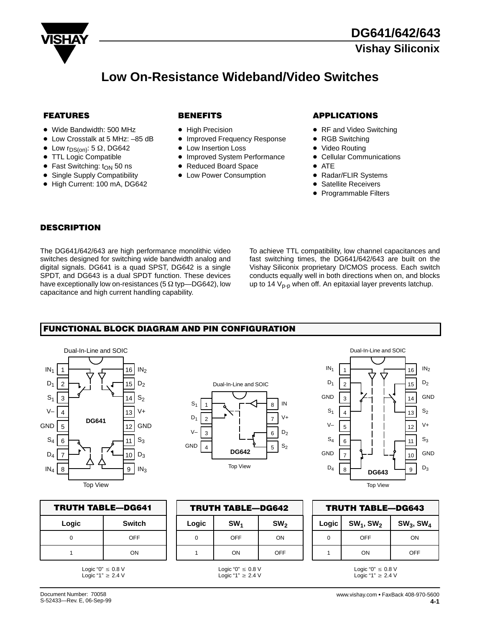

# **Low On-Resistance Wideband/Video Switches**

- Wide Bandwidth: 500 MHz
- $\bullet$ Low Crosstalk at 5 MHz: –85 dB
- $\bullet$ Low  $r_{DS(on)}$ : 5  $\Omega$ , DG642
- TTL Logic Compatible
- $\bullet$  Fast Switching: t<sub>ON</sub> 50 ns
- Single Supply Compatibility
- High Current: 100 mA, DG642

- High Precision
- $\bullet$  Improved Frequency Response
- $\bullet$ Low Insertion Loss
- Improved System Performance
- Reduced Board Space
- Low Power Consumption

### **FEATURES 62 BENEFITS APPLICATIONS**

- RF and Video Switching
- RGB Switching
- Video Routing
- Cellular Communications
- $\bullet$  ATE
- Radar/FLIR Systems
- Satellite Receivers
- Programmable Filters

#### **DESCRIPTION**

The DG641/642/643 are high performance monolithic video switches designed for switching wide bandwidth analog and digital signals. DG641 is a quad SPST, DG642 is a single SPDT, and DG643 is a dual SPDT function. These devices have exceptionally low on-resistances (5  $\Omega$  typ-DG642), low capacitance and high current handling capability.

To achieve TTL compatibility, low channel capacitances and fast switching times, the DG641/642/643 are built on the Vishay Siliconix proprietary D/CMOS process. Each switch conducts equally well in both directions when on, and blocks up to 14  $V_{p-p}$  when off. An epitaxial layer prevents latchup.

## **FUNCTIONAL BLOCK DIAGRAM AND PIN CONFIGURATION**



|            | Dual-In-Line and SOIC |   |       |
|------------|-----------------------|---|-------|
|            |                       |   |       |
| $S_1$      |                       | 8 | IN    |
| $D_1$<br>2 |                       |   |       |
| 3          |                       | 6 | $D_2$ |
| GND        | <b>DG642</b>          | 5 | $S_2$ |
|            | <b>Top View</b>       |   |       |

| Dual-In-Line and SOIC |                               |                 |  |  |  |  |
|-----------------------|-------------------------------|-----------------|--|--|--|--|
| IN <sub>1</sub>       | 16<br>1                       | IN <sub>2</sub> |  |  |  |  |
| $D_1$                 | 15<br>$\overline{\mathbf{c}}$ | $D_2$           |  |  |  |  |
| GND                   | 3<br>14                       | GND             |  |  |  |  |
| $S_1$                 | 13<br>$\overline{4}$          | $S_2$           |  |  |  |  |
| V-                    | 5<br>12                       | V+              |  |  |  |  |
| $S_4$                 | 6<br>11                       | $S_3$           |  |  |  |  |
| GND                   | 10<br>7                       | GND             |  |  |  |  |
| $\mathsf{D}_4$        | 8<br>9<br>DG643               | $D_3$           |  |  |  |  |
|                       | <b>Top View</b>               |                 |  |  |  |  |

| <b>TRUTH TABLE-DG641</b> |     |  |  |
|--------------------------|-----|--|--|
| <b>Switch</b><br>Logic   |     |  |  |
|                          | OFF |  |  |
| ON                       |     |  |  |

Logic "0"  $\leq 0.8$  V<br>Logic "1"  $\geq 2.4$  V

| <b>TRUTH TABLE-DG642</b> |                 |                 |  |
|--------------------------|-----------------|-----------------|--|
| Logic                    | SW <sub>1</sub> | SW <sub>2</sub> |  |
|                          | OFF             | ON              |  |
|                          | ON              | OFF             |  |

Logic "0"  $\leq 0.8$  V<br>Logic "1"  $\geq 2.4$  V

| <b>TRUTH TABLE-DG643</b> |                           |  |  |  |
|--------------------------|---------------------------|--|--|--|
| $SW_3$ , SW <sub>4</sub> |                           |  |  |  |
| ΩN                       |                           |  |  |  |
| OFF                      |                           |  |  |  |
|                          | $SW_1, SW_2$<br>OFF<br>ON |  |  |  |

Logic "0"  $\leq 0.8$  V<br>Logic "1"  $\geq 2.4$  V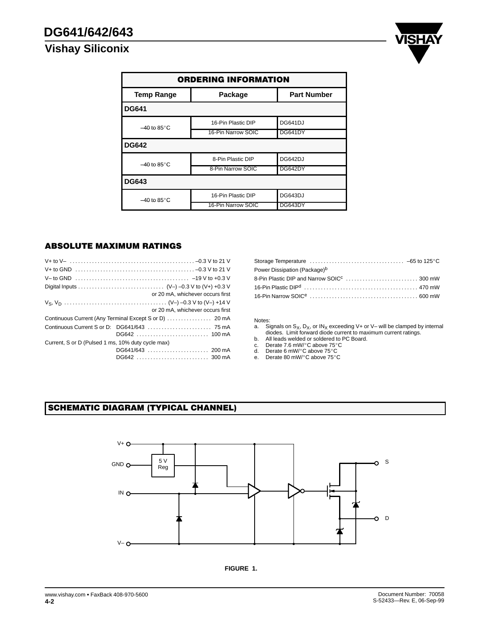

| <b>ORDERING INFORMATION</b>                        |                    |                |  |  |  |
|----------------------------------------------------|--------------------|----------------|--|--|--|
| <b>Part Number</b><br><b>Temp Range</b><br>Package |                    |                |  |  |  |
| <b>DG641</b>                                       |                    |                |  |  |  |
| $-40$ to 85 $\degree$ C                            | 16-Pin Plastic DIP | <b>DG641DJ</b> |  |  |  |
|                                                    | 16-Pin Narrow SOIC | DG641DY        |  |  |  |
| <b>DG642</b>                                       |                    |                |  |  |  |
| $-40$ to 85 $\degree$ C                            | 8-Pin Plastic DIP  | DG642DJ        |  |  |  |
|                                                    | 8-Pin Narrow SOIC  | DG642DY        |  |  |  |
| <b>DG643</b>                                       |                    |                |  |  |  |
| $-40$ to 85 $\degree$ C                            | 16-Pin Plastic DIP | DG643DJ        |  |  |  |
|                                                    | 16-Pin Narrow SOIC | DG643DY        |  |  |  |

## **ABSOLUTE MAXIMUM RATINGS**

|                                                   | or 20 mA, whichever occurs first |
|---------------------------------------------------|----------------------------------|
|                                                   |                                  |
|                                                   | or 20 mA, whichever occurs first |
|                                                   |                                  |
|                                                   |                                  |
|                                                   | DG642  100 mA                    |
| Current, S or D (Pulsed 1 ms, 10% duty cycle max) |                                  |
|                                                   | DG641/643  200 mA                |
|                                                   | DG642  300 mA                    |

| Power Dissipation (Package) <sup>b</sup> |  |
|------------------------------------------|--|
|                                          |  |
|                                          |  |
|                                          |  |

# Notes:<br>a. Si

- a. Signals on S<sub>X</sub>, D<sub>X</sub>, or IN<sub>X</sub> exceeding V+ or V– will be clamped by internal diodes. Limit forward diode current to maximum current ratings.
- b. All leads welded or soldered to PC Board.
- c. Derate 7.6 mW/-C above 75-C
- d. Derate 6 mW/°C above 75°C<br>e. Derate 80 mW/°C above 75°C
- 

## **SCHEMATIC DIAGRAM (TYPICAL CHANNEL)**



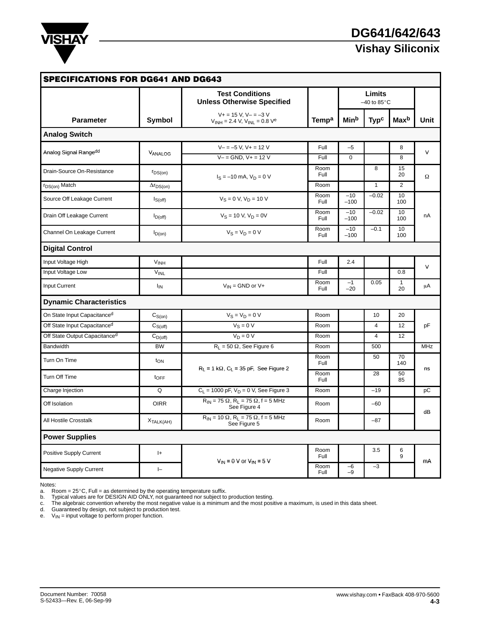

| <b>SPECIFICATIONS FOR DG641 AND DG643</b> |                             |                                                                          |                   |                                   |                        |                    |            |
|-------------------------------------------|-----------------------------|--------------------------------------------------------------------------|-------------------|-----------------------------------|------------------------|--------------------|------------|
|                                           |                             | <b>Test Conditions</b><br><b>Unless Otherwise Specified</b>              |                   | Limits<br>$-40$ to 85 $\degree$ C |                        |                    |            |
| <b>Parameter</b>                          | Symbol                      | $V + = 15 V$ , $V - = -3 V$<br>$V_{INH} = 2.4 V, V_{INL} = 0.8 V^e$      | Temp <sup>a</sup> | Min <sup>b</sup>                  | <b>Typ<sup>c</sup></b> | Maxb               | Unit       |
| <b>Analog Switch</b>                      |                             |                                                                          |                   |                                   |                        |                    |            |
| Analog Signal Rangedd                     |                             | $V - = -5 V$ , $V + = 12 V$                                              | Full              | $-5$                              |                        | 8                  | $\vee$     |
|                                           | VANALOG                     | $V - =$ GND, $V + = 12$ V                                                | Full              | $\Omega$                          |                        | 8                  |            |
| Drain-Source On-Resistance                | $r_{DS(on)}$                | $I_S = -10$ mA, $V_D = 0$ V                                              | Room<br>Full      |                                   | 8                      | 15<br>20           | $\Omega$   |
| r <sub>DS(on)</sub> Match                 | $\Delta r_{DS(on)}$         |                                                                          | Room              |                                   | $\mathbf{1}$           | 2                  |            |
| Source Off Leakage Current                | $I_{S(off)}$                | $V_S = 0 V$ , $V_D = 10 V$                                               | Room<br>Full      | $-10$<br>$-100$                   | $-0.02$                | 10<br>100          |            |
| Drain Off Leakage Current                 | $I_{D(off)}$                | $V_S = 10 V, V_D = 0V$                                                   | Room<br>Full      | $-10$<br>$-100$                   | $-0.02$                | 10<br>100          | nA         |
| Channel On Leakage Current                | $I_{D(0n)}$                 | $V_S = V_D = 0 V$                                                        | Room<br>Full      | $-10$<br>$-100$                   | $-0.1$                 | 10<br>100          |            |
| <b>Digital Control</b>                    |                             |                                                                          |                   |                                   |                        |                    |            |
| Input Voltage High                        | V <sub>INH</sub>            |                                                                          | Full              | 2.4                               |                        |                    |            |
| Input Voltage Low                         | <b>VINL</b>                 |                                                                          | Full              |                                   |                        | 0.8                | $\vee$     |
| <b>Input Current</b>                      | $I_{IN}$                    | $V_{IN}$ = GND or V+                                                     | Room<br>Full      | $-1$<br>$-20$                     | 0.05                   | $\mathbf{1}$<br>20 | μA         |
| <b>Dynamic Characteristics</b>            |                             |                                                                          |                   |                                   |                        |                    |            |
| On State Input Capacitanced               | $\mathrm{C}_\mathrm{S(on)}$ | $V_S = V_D = 0 V$                                                        | Room              |                                   | 10                     | 20                 |            |
| Off State Input Capacitance <sup>d</sup>  | $C_{S(off)}$                | $V_S = 0 V$                                                              | Room              |                                   | $\overline{4}$         | 12                 | pF         |
| Off State Output Capacitance <sup>d</sup> | $C_{D(off)}$                | $V_D = 0 V$                                                              | Room              |                                   | $\overline{4}$         | 12                 |            |
| <b>Bandwidth</b>                          | <b>BW</b>                   | $R_L = 50 \Omega$ , See Figure 6                                         | Room              |                                   | 500                    |                    | <b>MHz</b> |
| Turn On Time                              | $t_{ON}$                    |                                                                          | Room<br>Full      |                                   | 50                     | 70<br>140          | ns         |
| Turn Off Time                             | $t_{\text{OFF}}$            | $R_L = 1 k\Omega$ , $C_L = 35 pF$ , See Figure 2                         | Room<br>Full      |                                   | 28                     | 50<br>85           |            |
| Charge Injection                          | Q                           | $C_L$ = 1000 pF, $V_D$ = 0 V, See Figure 3                               | Room              |                                   | $-19$                  |                    | pC         |
| Off Isolation                             | <b>OIRR</b>                 | $R_{IN}$ = 75 $\Omega$ , $R_L$ = 75 $\Omega$ , f = 5 MHz<br>See Figure 4 | Room              |                                   | $-60$                  |                    |            |
| All Hostile Crosstalk                     | X <sub>TALK(AH)</sub>       | $R_{IN}$ = 10 $\Omega$ , $R_L$ = 75 $\Omega$ , f = 5 MHz<br>See Figure 5 | Room              |                                   | $-87$                  |                    | dB         |
| <b>Power Supplies</b>                     |                             |                                                                          |                   |                                   |                        |                    |            |
| Positive Supply Current                   | $ + $                       |                                                                          | Room<br>Full      |                                   | 3.5                    | 6<br>9             |            |
| <b>Negative Supply Current</b>            | $\vdash$                    | $V_{IN}$ = 0 V or $V_{IN}$ = 5 V                                         | Room<br>Full      | -6<br>$-9$                        | $-3$                   |                    | mA         |

Notes:

a. Room = 25-C, Full = as determined by the operating temperature suffix.

b. Typical values are for DESIGN AID ONLY, not guaranteed nor subject to production testing.<br>c. The algebraic convention whereby the most negative value is a minimum and the most positive a maximum, is used in this data

d. Guaranteed by design, not subject to production test.

e.  $V_{IN}$  = input voltage to perform proper function.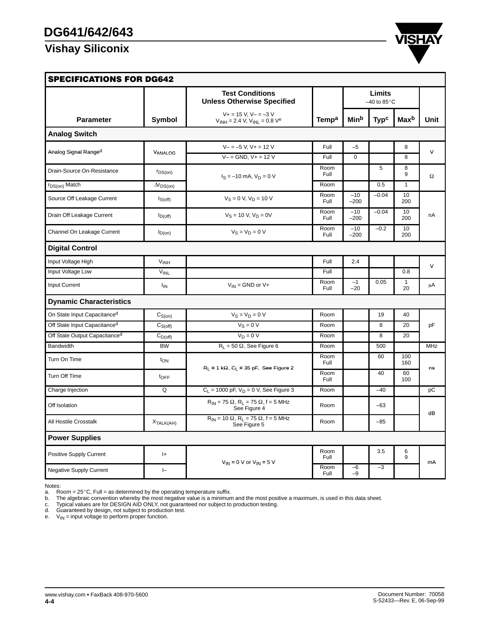

| <b>SPECIFICATIONS FOR DG642</b> |                        |                                                                          |              |                                   |                        |                    |            |
|---------------------------------|------------------------|--------------------------------------------------------------------------|--------------|-----------------------------------|------------------------|--------------------|------------|
|                                 |                        | <b>Test Conditions</b><br><b>Unless Otherwise Specified</b>              |              | Limits<br>$-40$ to $85^{\circ}$ C |                        |                    |            |
| <b>Parameter</b>                | Symbol                 | $V + = 15 V$ , $V - = -3 V$<br>$V_{INH} = 2.4 V, V_{INL} = 0.8 Ve$       | <b>Tempa</b> | Minb                              | <b>Typ<sup>c</sup></b> | Max <sup>b</sup>   | Unit       |
| <b>Analog Switch</b>            |                        |                                                                          |              |                                   |                        |                    |            |
|                                 |                        | $V - = -5 V$ , $V + = 12 V$                                              | Full         | $-5$                              |                        | 8                  | $\vee$     |
| Analog Signal Ranged            | VANALOG                | $V = GND$ . $V + = 12V$                                                  | Full         | $\Omega$                          |                        | 8                  |            |
| Drain-Source On-Resistance      | $r_{DS(on)}$           | $I_S = -10$ mA, $V_D = 0$ V                                              | Room<br>Full |                                   | 5                      | 8<br>9             | Ω          |
| $r_{DS(on)}$ Match              | $\Delta r_{DS(on)}$    |                                                                          | Room         |                                   | 0.5                    | $\mathbf{1}$       |            |
| Source Off Leakage Current      | $I_{S(off)}$           | $V_S = 0 V, V_D = 10 V$                                                  | Room<br>Full | $-10$<br>$-200$                   | $-0.04$                | 10<br>200          |            |
| Drain Off Leakage Current       | $I_{D(off)}$           | $V_S = 10 V, V_D = 0V$                                                   | Room<br>Full | $-10$<br>$-200$                   | $-0.04$                | 10<br>200          | nA         |
| Channel On Leakage Current      | $I_{D(on)}$            | $V_S = V_D = 0 V$                                                        | Room<br>Full | $-10$<br>$-200$                   | $-0.2$                 | 10<br>200          |            |
| <b>Digital Control</b>          |                        |                                                                          |              |                                   |                        |                    |            |
| Input Voltage High              | <b>V<sub>INH</sub></b> |                                                                          | Full         | 2.4                               |                        |                    | $\vee$     |
| Input Voltage Low               | <b>VINL</b>            |                                                                          | Full         |                                   |                        | 0.8                |            |
| Input Current                   | $I_{IN}$               | $V_{IN}$ = GND or V+                                                     | Room<br>Full | $-1$<br>$-20$                     | 0.05                   | $\mathbf{1}$<br>20 | μA         |
| <b>Dynamic Characteristics</b>  |                        |                                                                          |              |                                   |                        |                    |            |
| On State Input Capacitanced     | $C_{S(0n)}$            | $V_S = V_D = 0 V$                                                        | Room         |                                   | 19                     | 40                 |            |
| Off State Input Capacitanced    | $C_{S(off)}$           | $V_S = 0 V$                                                              | Room         |                                   | 8                      | 20                 | pF         |
| Off State Output Capacitanced   | $C_{D(off)}$           | $V_D = 0 V$                                                              | Room         |                                   | 8                      | 20                 |            |
| Bandwidth                       | <b>BW</b>              | $R_L = 50 \Omega$ , See Figure 6                                         | Room         |                                   | 500                    |                    | <b>MHz</b> |
| Turn On Time                    | $t_{ON}$               | $R_L = 1 k\Omega$ , $C_L = 35 pF$ , See Figure 2                         | Room<br>Full |                                   | 60                     | 100<br>160         | ns         |
| Turn Off Time                   | $t_{\text{OFF}}$       |                                                                          | Room<br>Full |                                   | 40                     | 60<br>100          |            |
| Charge Injection                | Q                      | $C_L = 1000$ pF, $V_D = 0$ V, See Figure 3                               | Room         |                                   | $-40$                  |                    | pC         |
| Off Isolation                   |                        | $R_{IN}$ = 75 $\Omega$ , $R_L$ = 75 $\Omega$ , f = 5 MHz<br>See Figure 4 | Room         |                                   | $-63$                  |                    |            |
| All Hostile Crosstalk           | X <sub>TALK(AH)</sub>  | $R_{IN}$ = 10 $\Omega$ , $R_L$ = 75 $\Omega$ , f = 5 MHz<br>See Figure 5 | Room         |                                   | $-85$                  |                    | dB         |
| <b>Power Supplies</b>           |                        |                                                                          |              |                                   |                        |                    |            |
| Positive Supply Current         | $ +$                   | $V_{IN}$ = 0 V or $V_{IN}$ = 5 V                                         | Room<br>Full |                                   | 3.5                    | 6<br>9             |            |
| <b>Negative Supply Current</b>  | $\vdash$               |                                                                          | Room<br>Full | $-6$<br>$-9$                      | $-3$                   |                    | mA         |

Notes:<br>a. Room = 25°C, Full = as determined by the operating temperature suffix.<br>b. The algebraic convention whereby the most negative value is a minimum and the most positive a maximum, is used in this data sheet.<br>c. Typi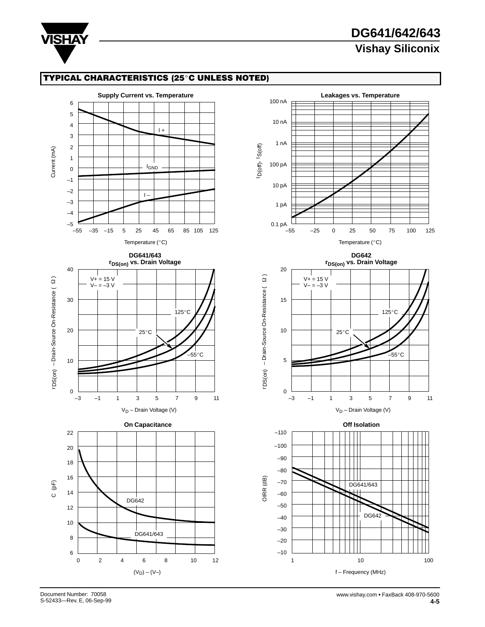

# **DG641/642/643 Vishay Siliconix**

## **TYPICAL CHARACTERISTICS (25°C UNLESS NOTED)**





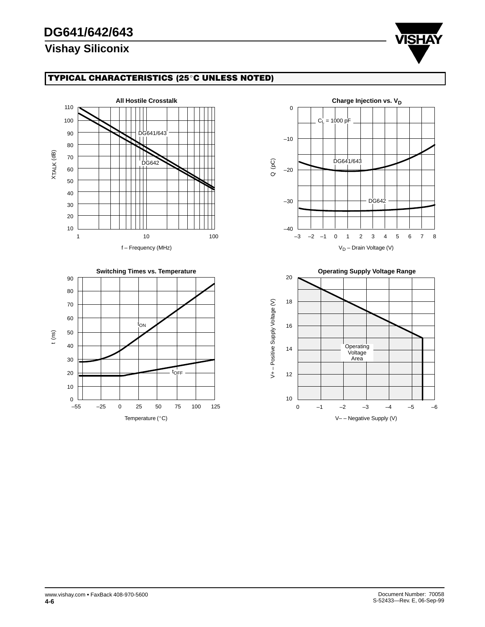# **DG641/642/643**

# **Vishay Siliconix**



## **TYPICAL CHARACTERISTICS (25°C UNLESS NOTED)**







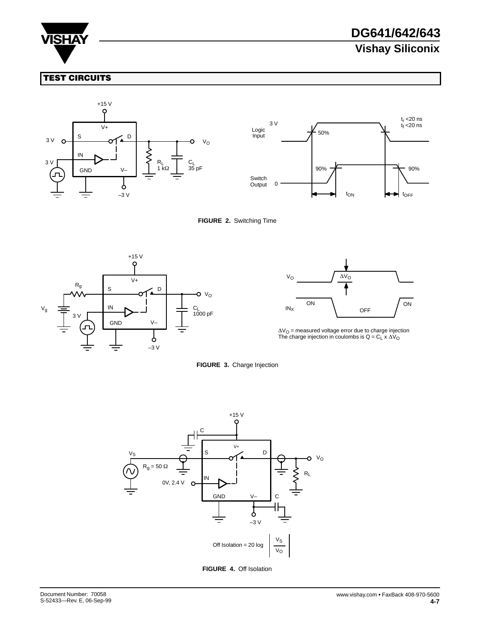

# **DG641/642/643 Vishay Siliconix**

## **TEST CIRCUITS**





#### **FIGURE 2.** Switching Time





 $\Delta V_O$  = measured voltage error due to charge injection<br>The charge injection in coulombs is Q = C<sub>L</sub> x  $\Delta V_O$ 





**FIGURE 4.** Off Isolation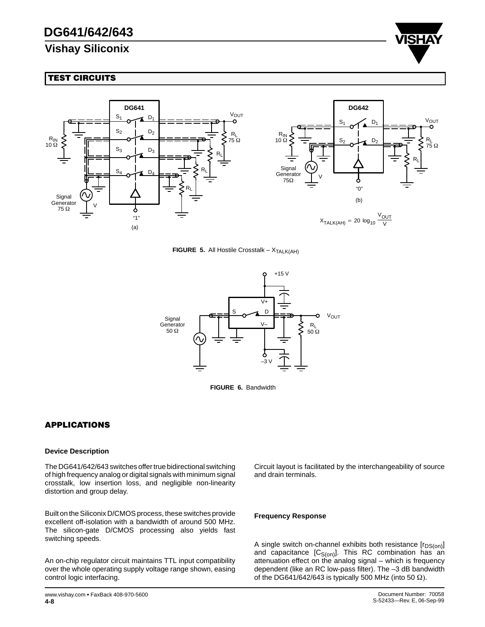

## **TEST CIRCUITS**



**FIGURE 5.** All Hostile Crosstalk –  $X_{\text{TALK(AH)}}$ 



**FIGURE 6.** Bandwidth

## **APPLICATIONS**

#### **Device Description**

The DG641/642/643 switches offer true bidirectional switching of high frequency analog or digital signals with minimum signal crosstalk, low insertion loss, and negligible non-linearity distortion and group delay.

Built on the Siliconix D/CMOS process, these switches provide excellent off-isolation with a bandwidth of around 500 MHz. The silicon-gate D/CMOS processing also yields fast switching speeds.

An on-chip regulator circuit maintains TTL input compatibility over the whole operating supply voltage range shown, easing control logic interfacing.

Circuit layout is facilitated by the interchangeability of source and drain terminals.

#### **Frequency Response**

A single switch on-channel exhibits both resistance  $[r_{DS(on)}]$ and capacitance  $[C_{S(on)}]$ . This RC combination has an attenuation effect on the analog signal – which is frequency dependent (like an RC low-pass filter). The –3 dB bandwidth of the DG641/642/643 is typically 500 MHz (into 50  $\Omega$ ).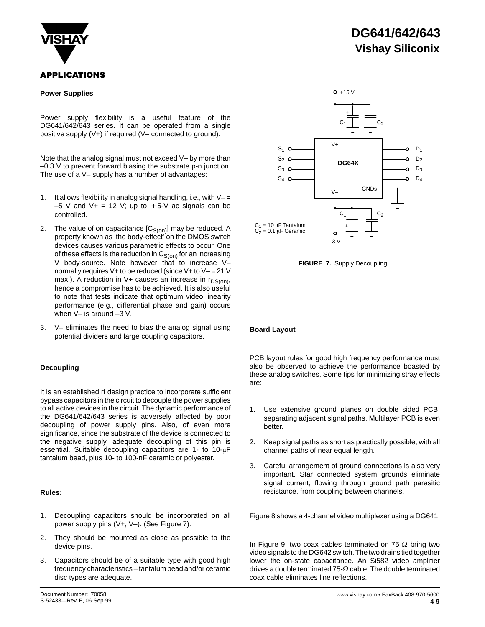

### **APPLICATIONS**

#### **Power Supplies**

Power supply flexibility is a useful feature of the DG641/642/643 series. It can be operated from a single positive supply (V+) if required (V– connected to ground).

Note that the analog signal must not exceed V– by more than –0.3 V to prevent forward biasing the substrate p-n junction. The use of a V– supply has a number of advantages:

- 1. It allows flexibility in analog signal handling, i.e., with  $V =$  $-5$  V and V + = 12 V; up to  $\pm 5$ -V ac signals can be controlled.
- 2. The value of on capacitance  $[C_{S(0n)}]$  may be reduced. A property known as 'the body-effect' on the DMOS switch devices causes various parametric effects to occur. One of these effects is the reduction in  $C_{S(0n)}$  for an increasing V body-source. Note however that to increase Vnormally requires  $V+$  to be reduced (since  $V+$  to  $V-$  = 21 V max.). A reduction in V+ causes an increase in  $r_{DS(on)}$ , hence a compromise has to be achieved. It is also useful to note that tests indicate that optimum video linearity performance (e.g., differential phase and gain) occurs when V– is around –3 V.
- 3. V– eliminates the need to bias the analog signal using potential dividers and large coupling capacitors.

#### **Decoupling**

It is an established rf design practice to incorporate sufficient bypass capacitors in the circuit to decouple the power supplies to all active devices in the circuit. The dynamic performance of the DG641/642/643 series is adversely affected by poor decoupling of power supply pins. Also, of even more significance, since the substrate of the device is connected to the negative supply, adequate decoupling of this pin is essential. Suitable decoupling capacitors are 1- to 10-uF tantalum bead, plus 10- to 100-nF ceramic or polyester.

#### **Rules:**

- 1. Decoupling capacitors should be incorporated on all power supply pins (V+, V–). (See Figure 7).
- 2. They should be mounted as close as possible to the device pins.
- 3. Capacitors should be of a suitable type with good high frequency characteristics – tantalum bead and/or ceramic disc types are adequate.

**DG641/642/643 Vishay Siliconix**



**FIGURE 7.** Supply Decoupling

#### **Board Layout**

PCB layout rules for good high frequency performance must also be observed to achieve the performance boasted by these analog switches. Some tips for minimizing stray effects are:

- 1. Use extensive ground planes on double sided PCB, separating adjacent signal paths. Multilayer PCB is even better.
- 2. Keep signal paths as short as practically possible, with all channel paths of near equal length.
- 3. Careful arrangement of ground connections is also very important. Star connected system grounds eliminate signal current, flowing through ground path parasitic resistance, from coupling between channels.

Figure 8 shows a 4-channel video multiplexer using a DG641.

In Figure 9, two coax cables terminated on 75  $\Omega$  bring two video signals to the DG642 switch. The two drains tied together lower the on-state capacitance. An Si582 video amplifier drives a double terminated 75- $\Omega$  cable. The double terminated coax cable eliminates line reflections.